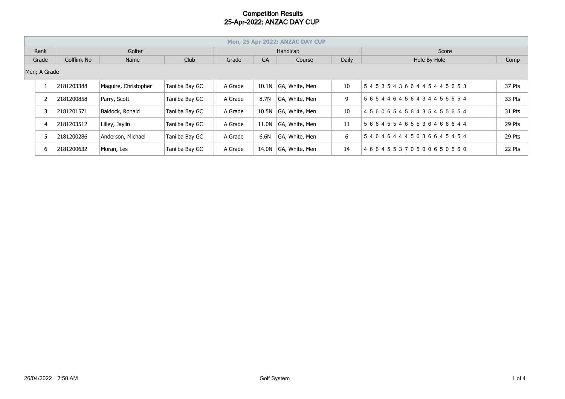|       | Mon, 25 Apr 2022: ANZAC DAY CUP |             |                      |                |          |       |                |       |                                     |        |  |  |
|-------|---------------------------------|-------------|----------------------|----------------|----------|-------|----------------|-------|-------------------------------------|--------|--|--|
| Rank  |                                 | Golfer      |                      |                | Handicap |       |                |       | Score                               |        |  |  |
| Grade |                                 | Golflink No | Name                 | Club           | Grade    | GA    | Course         | Daily | Hole By Hole                        | Comp   |  |  |
|       | Men; A Grade                    |             |                      |                |          |       |                |       |                                     |        |  |  |
|       |                                 | 2181203388  | Maguire, Christopher | Tanilba Bay GC | A Grade  | 10.1N | GA, White, Men | 10    | 545354366445445653                  | 37 Pts |  |  |
|       |                                 | 2181200858  | Parry, Scott         | Tanilba Bay GC | A Grade  | 8.7N  | GA, White, Men | 9     | 5 6 5 4 4 6 4 5 6 4 3 4 4 5 5 5 5 4 | 33 Pts |  |  |
|       |                                 | 2181201571  | Baldock, Ronald      | Tanilba Bay GC | A Grade  | 10.5N | GA, White, Men | 10    | 456065456435455654                  | 31 Pts |  |  |
|       |                                 | 2181203512  | Lilley, Jaylin       | Tanilba Bay GC | A Grade  | 11.0N | GA, White, Men | 11    | 566455465536466644                  | 29 Pts |  |  |
|       |                                 | 2181200286  | Anderson, Michael    | Tanilba Bay GC | A Grade  | 6.6N  | GA, White, Men | 6     | 546464445636645454                  | 29 Pts |  |  |
|       | 6                               | 2181200632  | Moran, Les           | Tanilba Bay GC | A Grade  | 14.0N | GA, White, Men | 14    | 466455370500650560                  | 22 Pts |  |  |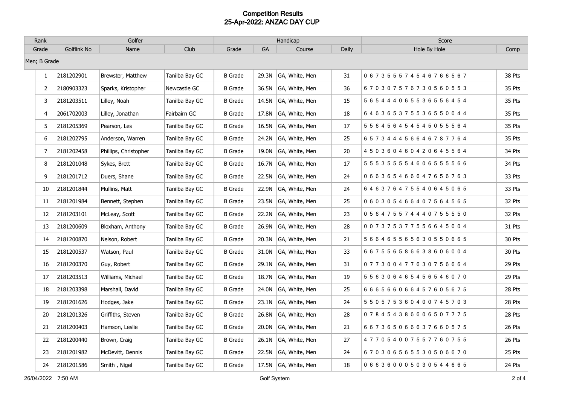| Rank         | Golfer      |                       |                | Handicap       |           |                |       | Score                               |        |  |
|--------------|-------------|-----------------------|----------------|----------------|-----------|----------------|-------|-------------------------------------|--------|--|
| Grade        | Golflink No | Name                  | Club           | Grade          | <b>GA</b> | Course         | Daily | Hole By Hole                        | Comp   |  |
| Men; B Grade |             |                       |                |                |           |                |       |                                     |        |  |
| $\mathbf{1}$ | 2181202901  | Brewster, Matthew     | Tanilba Bay GC | <b>B</b> Grade | 29.3N     | GA, White, Men | 31    | 067355574546766567                  | 38 Pts |  |
| 2            | 2180903323  | Sparks, Kristopher    | Newcastle GC   | <b>B</b> Grade | 36.5N     | GA, White, Men | 36    | 670307576730560553                  | 35 Pts |  |
| 3            | 2181203511  | Lilley, Noah          | Tanilba Bay GC | B Grade        | 14.5N     | GA, White, Men | 15    | 5 6 5 4 4 4 0 6 5 5 3 6 5 5 6 4 5 4 | 35 Pts |  |
| 4            | 2061702003  | Lilley, Jonathan      | Fairbairn GC   | <b>B</b> Grade | 17.8N     | GA, White, Men | 18    | 646365375536550044                  | 35 Pts |  |
| 5            | 2181205369  | Pearson, Les          | Tanilba Bay GC | <b>B</b> Grade | 16.5N     | GA, White, Men | 17    | 5 5 6 4 5 6 4 5 4 5 4 5 0 5 5 5 6 4 | 35 Pts |  |
| 6            | 2181202795  | Anderson, Warren      | Tanilba Bay GC | <b>B</b> Grade | 24.2N     | GA, White, Men | 25    | 657344456646787764                  | 35 Pts |  |
| 7            | 2181202458  | Phillips, Christopher | Tanilba Bay GC | <b>B</b> Grade | 19.0N     | GA, White, Men | 20    | 450360460420645564                  | 34 Pts |  |
| 8            | 2181201048  | Sykes, Brett          | Tanilba Bay GC | B Grade        | 16.7N     | GA, White, Men | 17    | 5 5 5 3 5 5 5 5 4 6 0 6 5 5 5 5 6 6 | 34 Pts |  |
| 9            | 2181201712  | Duers, Shane          | Tanilba Bay GC | <b>B</b> Grade | 22.5N     | GA, White, Men | 24    | 066365466647656763                  | 33 Pts |  |
| 10           | 2181201844  | Mullins, Matt         | Tanilba Bay GC | <b>B</b> Grade | 22.9N     | GA, White, Men | 24    | 646376475540645065                  | 33 Pts |  |
| 11           | 2181201984  | Bennett, Stephen      | Tanilba Bay GC | <b>B</b> Grade | 23.5N     | GA, White, Men | 25    | 060305466407564565                  | 32 Pts |  |
| 12           | 2181203101  | McLeay, Scott         | Tanilba Bay GC | <b>B</b> Grade | 22.2N     | GA, White, Men | 23    | 056475574440755550                  | 32 Pts |  |
| 13           | 2181200609  | Bloxham, Anthony      | Tanilba Bay GC | B Grade        | 26.9N     | GA, White, Men | 28    | 0 0 7 3 7 5 3 7 7 5 5 6 6 4 5 0 0 4 | 31 Pts |  |
| 14           | 2181200870  | Nelson, Robert        | Tanilba Bay GC | <b>B</b> Grade | 20.3N     | GA, White, Men | 21    | 5 6 6 4 6 5 5 6 5 6 3 0 5 5 0 6 6 5 | 30 Pts |  |
| 15           | 2181200537  | Watson, Paul          | Tanilba Bay GC | <b>B</b> Grade | 31.0N     | GA, White, Men | 33    | 667556586638606004                  | 30 Pts |  |
| 16           | 2181200370  | Guy, Robert           | Tanilba Bay GC | <b>B</b> Grade | 29.1N     | GA, White, Men | 31    | 077300477630756664                  | 29 Pts |  |
| 17           | 2181203513  | Williams, Michael     | Tanilba Bay GC | <b>B</b> Grade | 18.7N     | GA, White, Men | 19    | 5 5 6 3 0 6 4 6 5 4 5 6 5 4 6 0 7 0 | 29 Pts |  |
| 18           | 2181203398  | Marshall, David       | Tanilba Bay GC | <b>B</b> Grade | 24.0N     | GA, White, Men | 25    | 6 6 6 5 6 6 0 6 6 4 5 7 6 0 5 6 7 5 | 28 Pts |  |
| 19           | 2181201626  | Hodges, Jake          | Tanilba Bay GC | <b>B</b> Grade | 23.1N     | GA, White, Men | 24    | 5 5 0 5 7 5 3 6 0 4 0 0 7 4 5 7 0 3 | 28 Pts |  |
| 20           | 2181201326  | Griffiths, Steven     | Tanilba Bay GC | <b>B</b> Grade | 26.8N     | GA, White, Men | 28    | 078454386606507775                  | 28 Pts |  |
| 21           | 2181200403  | Hamson, Leslie        | Tanilba Bay GC | <b>B</b> Grade | 20.0N     | GA, White, Men | 21    | 6 6 7 3 6 5 0 6 6 6 3 7 6 6 0 5 7 5 | 26 Pts |  |
| 22           | 2181200440  | Brown, Craig          | Tanilba Bay GC | <b>B</b> Grade | 26.1N     | GA, White, Men | 27    | 477054007557760755                  | 26 Pts |  |
| 23           | 2181201982  | McDevitt, Dennis      | Tanilba Bay GC | <b>B</b> Grade | 22.5N     | GA, White, Men | 24    | 670306565530506670                  | 25 Pts |  |
| 24           | 2181201586  | Smith, Nigel          | Tanilba Bay GC | B Grade        | 17.5N     | GA, White, Men | 18    | 0 6 6 3 6 0 0 0 5 0 3 0 5 4 4 6 6 5 | 24 Pts |  |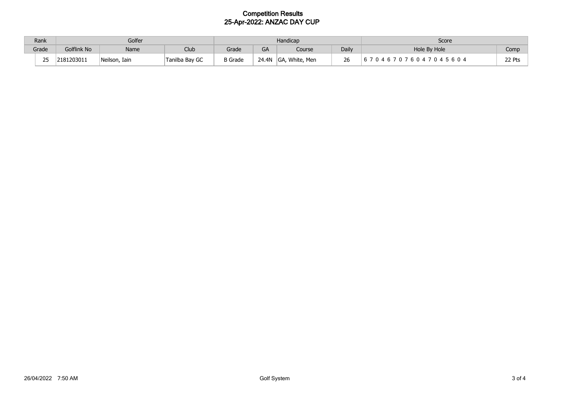|       | Rank<br>Golfer |             |               | Handicap       |                |              |                      | Score        |               |        |
|-------|----------------|-------------|---------------|----------------|----------------|--------------|----------------------|--------------|---------------|--------|
| Grade |                | Golflink No | Name          | <b>Club</b>    | Grade          | $\sim$<br>GA | Course               | Daily        | Hole By Hole  | Comp   |
|       | $\sim$ $\sim$  | 2181203011  | Neilson, Iain | Tanilba Bay GC | <b>B</b> Grade | 24.4N        | , White, Men<br>IGA, | $\sim$<br>26 | 045604<br>6 N | 22 Pts |